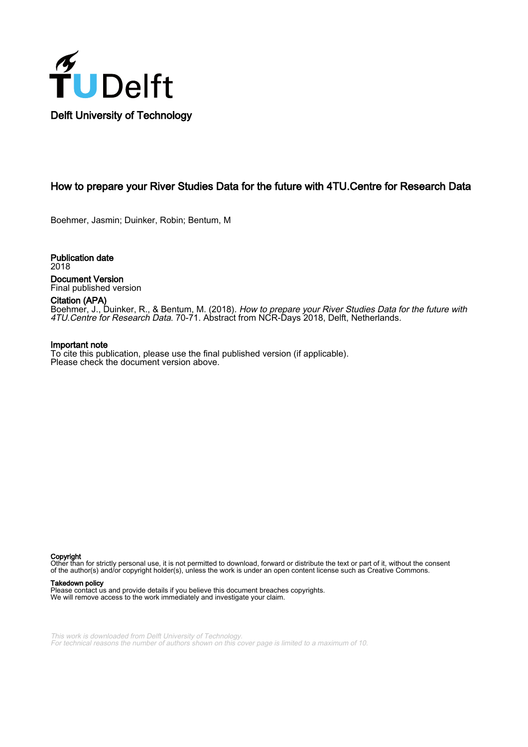

# How to prepare your River Studies Data for the future with 4TU.Centre for Research Data

Boehmer, Jasmin; Duinker, Robin; Bentum, M

Publication date 2018 Document Version Final published version

Citation (APA)

Boehmer, J., Duinker, R., & Bentum, M. (2018). *How to prepare your River Studies Data for the future with* 4TU.Centre for Research Data. 70-71. Abstract from NCR-Days 2018, Delft, Netherlands.

#### Important note

To cite this publication, please use the final published version (if applicable). Please check the document version above.

Copyright

Other than for strictly personal use, it is not permitted to download, forward or distribute the text or part of it, without the consent of the author(s) and/or copyright holder(s), unless the work is under an open content license such as Creative Commons.

#### Takedown policy

Please contact us and provide details if you believe this document breaches copyrights. We will remove access to the work immediately and investigate your claim.

This work is downloaded from Delft University of Technology. For technical reasons the number of authors shown on this cover page is limited to a maximum of 10.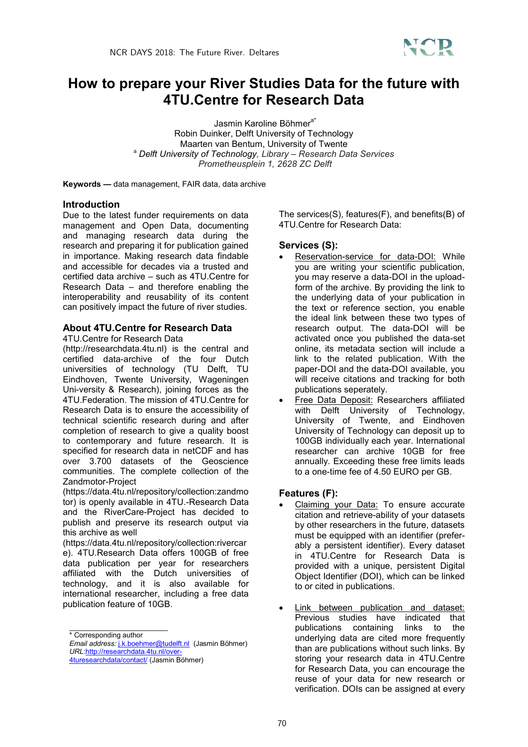

# **How to prepare your River Studies Data for the future with 4TU.Centre for Research Data**

Jasmin Karoline Böhmer<sup>a\*</sup>

Robin Duinker, Delft University of Technology Maarten van Bentum, University of Twente a *Delft University of Technology, Library – Research Data Services Prometheusplein 1, 2628 ZC Delft*

**Keywords —** data management, FAIR data, data archive

#### **Introduction**

Due to the latest funder requirements on data management and Open Data, documenting and managing research data during the research and preparing it for publication gained in importance. Making research data findable and accessible for decades via a trusted and certified data archive – such as 4TU.Centre for Research Data – and therefore enabling the interoperability and reusability of its content can positively impact the future of river studies.

# **About 4TU.Centre for Research Data**

4TU.Centre for Research Data

(http://researchdata.4tu.nl) is the central and certified data-archive of the four Dutch universities of technology (TU Delft, TU Eindhoven, Twente University, Wageningen Uni-versity & Research), joining forces as the 4TU.Federation. The mission of 4TU.Centre for Research Data is to ensure the accessibility of technical scientific research during and after completion of research to give a quality boost to contemporary and future research. It is specified for research data in netCDF and has over 3.700 datasets of the Geoscience communities. The complete collection of the Zandmotor-Project

(https://data.4tu.nl/repository/collection:zandmo tor) is openly available in 4TU.-Research Data and the RiverCare-Project has decided to publish and preserve its research output via this archive as well

(https://data.4tu.nl/repository/collection:rivercar e). 4TU.Research Data offers 100GB of free data publication per year for researchers affiliated with the Dutch universities of technology, and it is also available for international researcher, including a free data publication feature of 10GB.

The services(S), features(F), and benefits(B) of 4TU.Centre for Research Data:

#### **Services (S):**

- Reservation-service for data-DOI: While you are writing your scientific publication, you may reserve a data-DOI in the uploadform of the archive. By providing the link to the underlying data of your publication in the text or reference section, you enable the ideal link between these two types of research output. The data-DOI will be activated once you published the data-set online, its metadata section will include a link to the related publication. With the paper-DOI and the data-DOI available, you will receive citations and tracking for both publications seperately.
- Free Data Deposit: Researchers affiliated with Delft University of Technology, University of Twente, and Eindhoven University of Technology can deposit up to 100GB individually each year. International researcher can archive 10GB for free annually. Exceeding these free limits leads to a one-time fee of 4.50 EURO per GB.

### **Features (F):**

- Claiming your Data: To ensure accurate citation and retrieve-ability of your datasets by other researchers in the future, datasets must be equipped with an identifier (preferably a persistent identifier). Every dataset in 4TU.Centre for Research Data is provided with a unique, persistent Digital Object Identifier (DOI), which can be linked to or cited in publications.
- Link between publication and dataset: Previous studies have indicated that publications containing links to the underlying data are cited more frequently than are publications without such links. By storing your research data in 4TU.Centre for Research Data, you can encourage the reuse of your data for new research or verification. DOIs can be assigned at every

\_\_\_\_\_\_\_\_\_\_\_\_\_\_\_\_\_\_\_\_\_\_\_\_\_ \* Corresponding author

*Email address:* j.k.boehmer@tudelft.nl (Jasmin Böhmer) *URL*:http://researchdata.4tu.nl/over-

<sup>4</sup>turesearchdata/contact/ (Jasmin Böhmer)